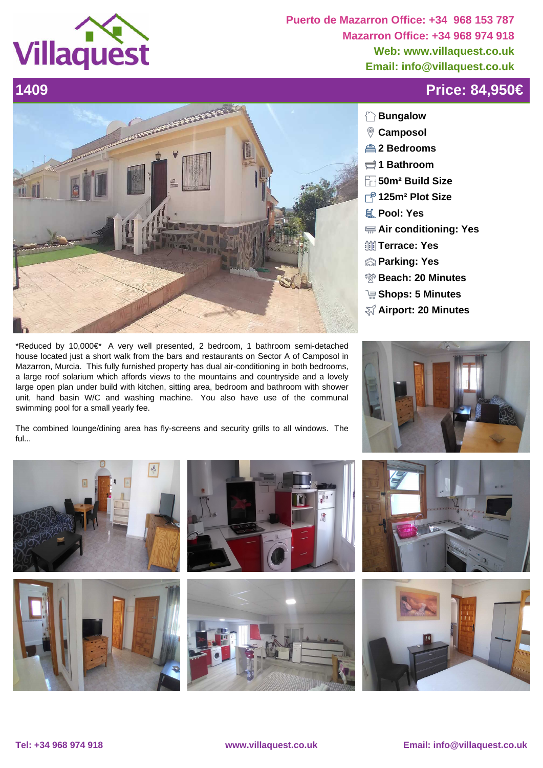

**Puerto de Mazarron Office: +34 968 153 787 Mazarron Office: +34 968 974 918 Web: www.villaquest.co.uk Email: info@villaquest.co.uk**



\*Reduced by 10,000€\* A very well presented, 2 bedroom, 1 bathroom semi-detached house located just a short walk from the bars and restaurants on Sector A of Camposol in Mazarron, Murcia. This fully furnished property has dual air-conditioning in both bedrooms, a large roof solarium which affords views to the mountains and countryside and a lovely large open plan under build with kitchen, sitting area, bedroom and bathroom with shower unit, hand basin W/C and washing machine. You also have use of the communal swimming pool for a small yearly fee.

The combined lounge/dining area has fly-screens and security grills to all windows. The ful...



- **2 Bedrooms**
- 
- **1 Bathroom**
- **50m² Build Size**
- **125m² Plot Size**
- **Pool: Yes**
- **Air conditioning: Yes**
- **<b>III** Terrace: Yes
- **Parking: Yes**
- **Beach: 20 Minutes**
- **Shops: 5 Minutes**
- **Airport: 20 Minutes**